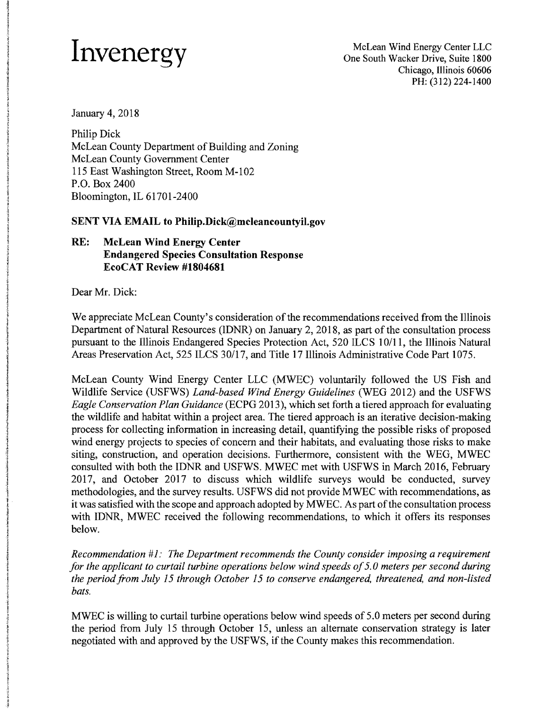January 4, 2018

Philip Dick McLean County Department of Building and Zoning McLean County Government Center 115 East Washington Street, Room M-I02 P.O. Box 2400 Bloomington, IL 61701-2400

## **SENT VIA EMAIL to Philip.Dick@mcleancountyil.gov**

## **RE: McLean Wind Energy Center Endangered Species Consultation Response EcoCAT Review #1804681**

Dear Mr. Dick:

We appreciate McLean County's consideration of the recommendations received from the Illinois Department of Natural Resources (IDNR) on January 2, 2018, as part of the consultation process pursuant to the Illinois Endangered Species Protection Act, 520 ILCS 10/11, the Illinois Natural Areas Preservation Act, 525 ILCS 30/17, and Title 17 Illinois Administrative Code Part 1075.

McLean County Wind Energy Center LLC (MWEC) voluntarily followed the US Fish and Wildlife Service (USFWS) *Land-based Wind Energy Guidelines* (WEG 2012) and the USFWS *Eagle Conservation Plan Guidance* (ECPG 2013), which set forth a tiered approach for evaluating the wildlife and habitat within a project area. The tiered approach is an iterative decision-making process for collecting information in increasing detail, quantifying the possible risks of proposed wind energy projects to species of concern and their habitats, and evaluating those risks to make siting, construction, and operation decisions. Furthermore, consistent with the WEG, MWEC consulted with both the IDNR and USFWS. MWEC met with USFWS in March 2016, February 2017, and October 2017 to discuss which wildlife surveys would be conducted, survey methodologies, and the survey results. USFWS did not provide MWEC with recommendations, as it was satisfied with the scope and approach adopted by MWEC. As part ofthe consultation process with IDNR, MWEC received the following recommendations, to which it offers its responses below.

*Recommendation* #1: *The Department recommends the County consider imposing a requirement for the applicant to curtail turbine operations below wind speeds of 5.0 meters per second during the period from July* 15 *through October* 15 *to conserve endangered, threatened, and non-listed bats.* 

MWEC is willing to curtail turbine operations below wind speeds of 5.0 meters per second during the period from July 15 through October 15, unless an alternate conservation strategy is later negotiated with and approved by the USFWS, if the County makes this recommendation.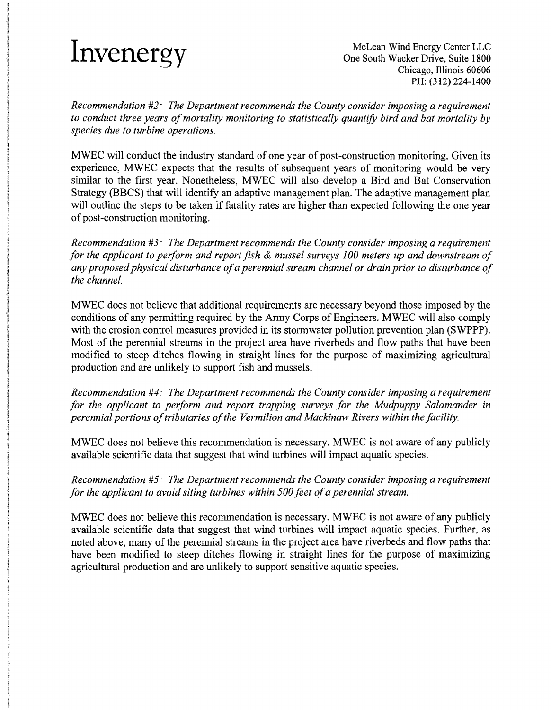*Recommendation* #2: *The Department recommends the County consider imposing a requirement*  to conduct three years of mortality monitoring to statistically quantify bird and bat mortality by *species due to turbine operations.* 

MWEC will conduct the industry standard of one year of post-construction monitoring. Given its experience, MWEC expects that the results of subsequent years of monitoring would be very similar to the first year. Nonetheless, MWEC will also develop a Bird and Bat Conservation Strategy (BBCS) that will identify an adaptive management plan. The adaptive management plan will outline the steps to be taken if fatality rates are higher than expected following the one year of post-construction monitoring.

*Recommendation* #3: *The Department recommends the County consider imposing a requirement for the applicant to perform and report fish* & *mussel surveys 100 meters up and downstream of any proposed physical disturbance ofa perennial stream channel or drain prior to disturbance of the channel.* 

MWEC does not believe that additional requirements are necessary beyond those imposed by the conditions of any permitting required by the Army Corps of Engineers. MWEC will also comply with the erosion control measures provided in its stormwater pollution prevention plan (SWPPP). Most of the perennial streams in the project area have riverbeds and flow paths that have been modified to steep ditches flowing in straight lines for the purpose of maximizing agricultural production and are unlikely to support fish and mussels.

*Recommendation* #4: *The Department recommends the County consider imposing a requirement for the applicant to perform and report trapping surveys for the Mudpuppy Salamander in perennial portions oftributaries ofthe Vermilion and Mackinaw Rivers within the facility.* 

MWEC does not believe this recommendation is necessary. MWEC is not aware of any publicly available scientific data that suggest that wind turbines will impact aquatic species.

*Recommendation* #5: *The Department recommends the County consider imposing a requirement for the applicant to avoid siting turbines within 500 feet of a perennial stream.* 

MWEC does not believe this recommendation is necessary. MWEC is not aware of any publicly available scientific data that suggest that wind turbines will impact aquatic species. Further, as noted above, many of the perennial streams in the project area have riverbeds and flow paths that have been modified to steep ditches flowing in straight lines for the purpose of maximizing agricultural production and are unlikely to support sensitive aquatic species.